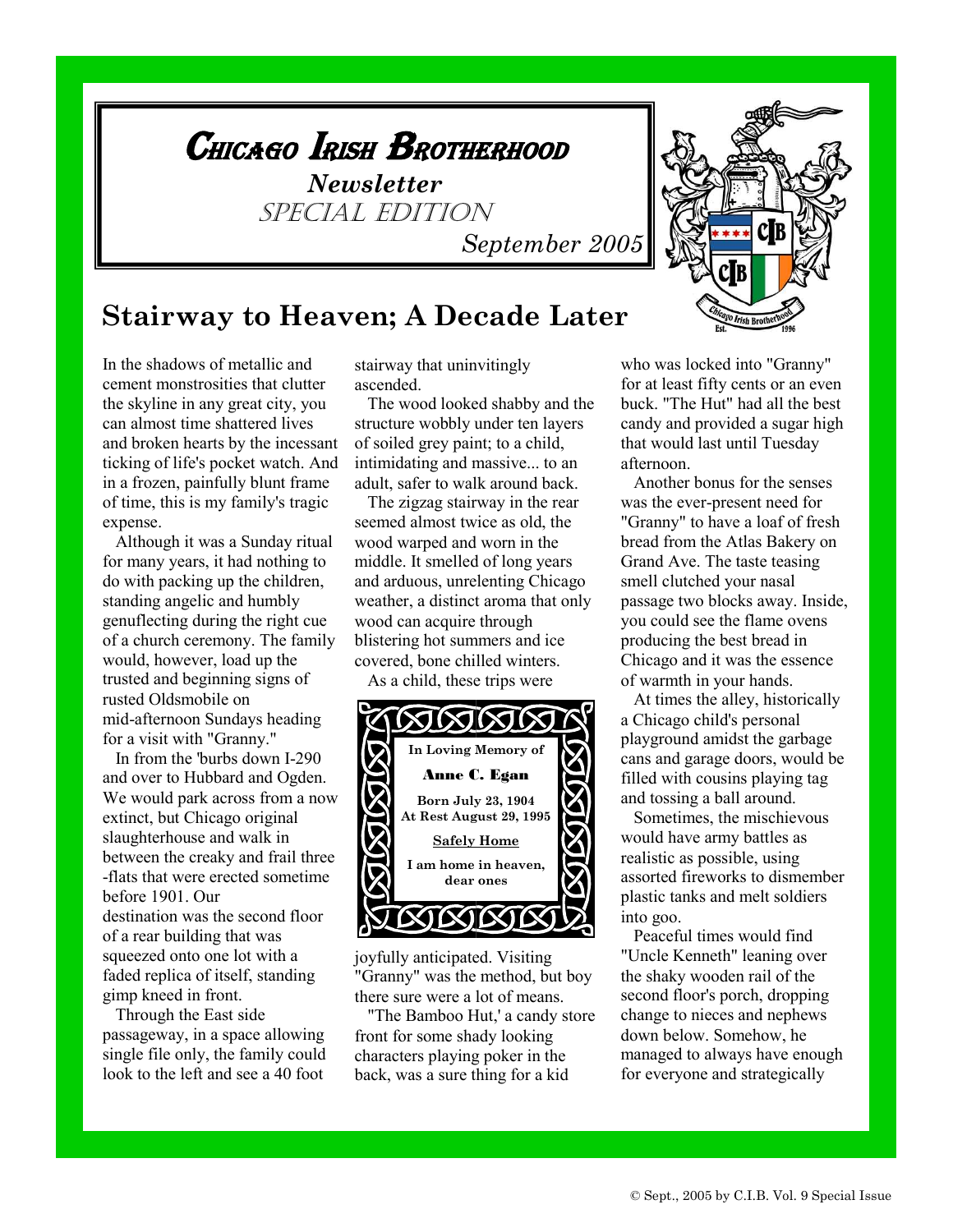

## **Stairway to Heaven; A Decade Later**

In the shadows of metallic and cement monstrosities that clutter the skyline in any great city, you can almost time shattered lives and broken hearts by the incessant ticking of life's pocket watch. And in a frozen, painfully blunt frame of time, this is my family's tragic expense.

 Although it was a Sunday ritual for many years, it had nothing to do with packing up the children, standing angelic and humbly genuflecting during the right cue of a church ceremony. The family would, however, load up the trusted and beginning signs of rusted Oldsmobile on mid-afternoon Sundays heading for a visit with "Granny."

 In from the 'burbs down I-290 and over to Hubbard and Ogden. We would park across from a now extinct, but Chicago original slaughterhouse and walk in between the creaky and frail three -flats that were erected sometime before 1901. Our destination was the second floor of a rear building that was squeezed onto one lot with a faded replica of itself, standing gimp kneed in front.

 Through the East side passageway, in a space allowing single file only, the family could look to the left and see a 40 foot

stairway that uninvitingly ascended.

 The wood looked shabby and the structure wobbly under ten layers of soiled grey paint; to a child, intimidating and massive... to an adult, safer to walk around back.

 The zigzag stairway in the rear seemed almost twice as old, the wood warped and worn in the middle. It smelled of long years and arduous, unrelenting Chicago weather, a distinct aroma that only wood can acquire through blistering hot summers and ice covered, bone chilled winters.

As a child, these trips were



joyfully anticipated. Visiting "Granny" was the method, but boy there sure were a lot of means.

 "The Bamboo Hut,' a candy store front for some shady looking characters playing poker in the back, was a sure thing for a kid

who was locked into "Granny" for at least fifty cents or an even buck. "The Hut" had all the best candy and provided a sugar high that would last until Tuesday afternoon.

 Another bonus for the senses was the ever-present need for "Granny" to have a loaf of fresh bread from the Atlas Bakery on Grand Ave. The taste teasing smell clutched your nasal passage two blocks away. Inside, you could see the flame ovens producing the best bread in Chicago and it was the essence of warmth in your hands.

 At times the alley, historically a Chicago child's personal playground amidst the garbage cans and garage doors, would be filled with cousins playing tag and tossing a ball around.

 Sometimes, the mischievous would have army battles as realistic as possible, using assorted fireworks to dismember plastic tanks and melt soldiers into goo.

 Peaceful times would find "Uncle Kenneth" leaning over the shaky wooden rail of the second floor's porch, dropping change to nieces and nephews down below. Somehow, he managed to always have enough for everyone and strategically